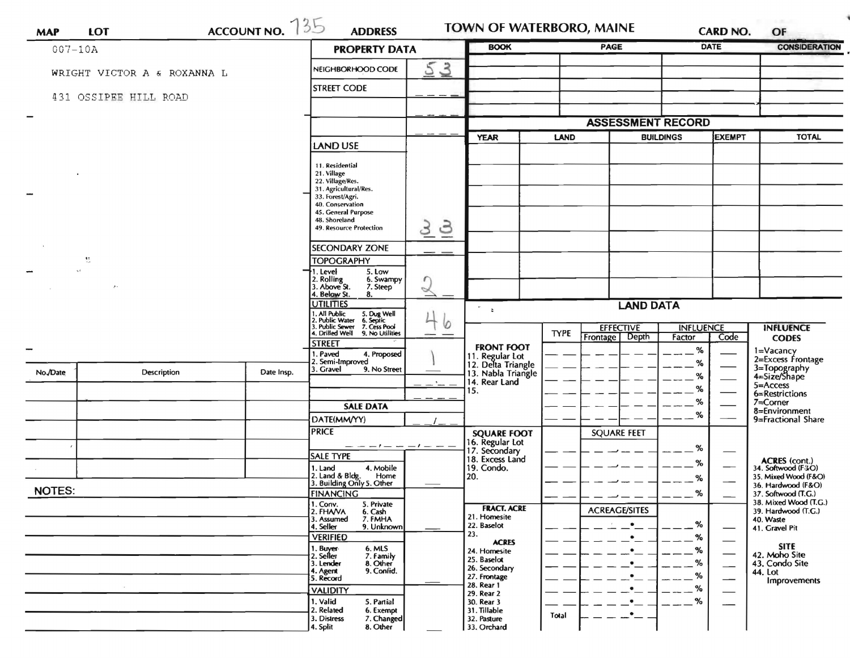| <b>MAP</b>    | <b>LOT</b>                  | ACCOUNT NO. 735 | <b>ADDRESS</b>                                                                                                           | TOWN OF WATERBORO, MAINE |                                                             |             |                          | <b>CARD NO.</b>                   | OF          |                                                   |  |
|---------------|-----------------------------|-----------------|--------------------------------------------------------------------------------------------------------------------------|--------------------------|-------------------------------------------------------------|-------------|--------------------------|-----------------------------------|-------------|---------------------------------------------------|--|
| $007 - 10A$   |                             |                 | <b>PROPERTY DATA</b>                                                                                                     |                          | <b>BOOK</b>                                                 |             | <b>PAGE</b>              |                                   | <b>DATE</b> | <b>CONSIDERATION</b>                              |  |
|               | WRIGHT VICTOR A & ROXANNA L |                 | NEIGHBORHOOD CODE                                                                                                        | 5<br>$\mathbf{3}$        |                                                             |             |                          |                                   |             |                                                   |  |
|               |                             |                 | <b>STREET CODE</b>                                                                                                       |                          |                                                             |             |                          |                                   |             |                                                   |  |
|               | 431 OSSIPEE HILL ROAD       |                 |                                                                                                                          |                          |                                                             |             |                          |                                   |             |                                                   |  |
|               |                             |                 |                                                                                                                          |                          |                                                             |             | <b>ASSESSMENT RECORD</b> |                                   |             |                                                   |  |
|               |                             |                 |                                                                                                                          |                          | LAND<br><b>YEAR</b>                                         |             |                          | <b>BUILDINGS</b><br><b>EXEMPT</b> |             |                                                   |  |
|               |                             |                 | <b>LAND USE</b>                                                                                                          |                          |                                                             |             |                          |                                   |             |                                                   |  |
|               |                             |                 | 11. Residential<br>21. Village                                                                                           |                          |                                                             |             |                          |                                   |             |                                                   |  |
|               |                             |                 | 22. Village/Res.<br>31. Agricultural/Res.                                                                                |                          |                                                             |             |                          |                                   |             |                                                   |  |
|               |                             |                 | 33. Forest/Agri.<br>40. Conservation                                                                                     |                          |                                                             |             |                          |                                   |             |                                                   |  |
|               |                             |                 | 45. General Purpose<br>48. Shoreland                                                                                     |                          |                                                             |             |                          |                                   |             |                                                   |  |
|               |                             |                 | 49. Resource Protection                                                                                                  | 3<br>3                   |                                                             |             |                          |                                   |             |                                                   |  |
|               |                             |                 | <b>SECONDARY ZONE</b>                                                                                                    |                          |                                                             |             |                          |                                   |             |                                                   |  |
|               | 11                          |                 | <b>TOPOGRAPHY</b>                                                                                                        |                          |                                                             |             |                          |                                   |             |                                                   |  |
|               |                             |                 | 1. Level<br>5. Low<br>6. Swampy                                                                                          | r                        |                                                             |             |                          |                                   |             |                                                   |  |
|               |                             |                 | 2. Rolling<br>3. Above St.<br>7. Steep<br>4. Below St.<br>8.                                                             | $\breve{}$               |                                                             |             |                          |                                   |             |                                                   |  |
|               |                             |                 | <b>UTILITIES</b>                                                                                                         |                          | <b>LAND DATA</b><br>$\mathbf{e}_{\mathbf{e}}$<br>$\ddot{a}$ |             |                          |                                   |             |                                                   |  |
|               |                             |                 | 1. All Public 5. Dug Well<br>2. Public Water 6. Septic<br>3. Public Sewer 7. Cess Pool<br>4. Drilled Well 9. No Utilitie | 0                        |                                                             |             | <b>EFFECTIVE</b>         | <b>INFLUENCE</b>                  |             | <b>INFLUENCE</b>                                  |  |
|               |                             |                 | 9. No Utilities                                                                                                          |                          |                                                             | <b>TYPE</b> | Frontage<br>Depth        | Factor                            | Code        | <b>CODES</b>                                      |  |
|               |                             |                 | <b>STREET</b><br>1. Paved<br>4. Proposed                                                                                 |                          | <b>FRONT FOOT</b><br>11. Regular Lot                        |             |                          | $\%$                              |             | 1=Vacancy                                         |  |
| No./Date      | Description                 | Date Insp.      | 2. Semi-Improved<br>9. No Street<br>3. Gravel                                                                            |                          | 12. Delta Triangle                                          |             |                          | %                                 |             | 2=Excess Frontage<br>3=Topography<br>4=Size/Shape |  |
|               |                             |                 |                                                                                                                          |                          | 13. Nabla Triangle<br>14. Rear Land                         |             |                          | ℅                                 |             | $5 =$ Access                                      |  |
|               |                             |                 |                                                                                                                          |                          | 15.                                                         |             |                          | %<br>%                            |             | 6=Restrictions                                    |  |
|               |                             |                 | <b>SALE DATA</b>                                                                                                         |                          |                                                             |             |                          | %                                 |             | $7 =$ Corner<br>8=Environment                     |  |
|               |                             |                 | DATE(MM/YY)                                                                                                              |                          |                                                             |             |                          |                                   |             | 9=Fractional Share                                |  |
|               |                             |                 | <b>PRICE</b>                                                                                                             | - 1 -                    | <b>SQUARE FOOT</b><br>16. Regular Lot                       |             | <b>SQUARE FEET</b>       |                                   |             |                                                   |  |
|               |                             |                 | <b>SALE TYPE</b>                                                                                                         |                          | 17. Secondary<br>18. Excess Land                            |             |                          | %                                 |             |                                                   |  |
|               |                             |                 | 1. Land<br>4. Mobile                                                                                                     |                          | 19. Condo.                                                  |             |                          | %                                 |             | <b>ACRES</b> (cont.)<br>34. Softwood (F4O)        |  |
|               |                             |                 | 2. Land & Bldg. Home<br>3. Building Only 5. Other<br>Home                                                                |                          | 20.                                                         |             |                          | ℅                                 |             | 35. Mixed Wood (F&O)<br>36. Hardwood (F&O)        |  |
| <b>NOTES:</b> |                             |                 | <b>FINANCING</b><br>1. Conv.<br>5. Private                                                                               |                          |                                                             |             |                          | %                                 |             | 37. Softwood (T.G.)<br>38. Mixed Wood (T.G.)      |  |
|               |                             |                 | 2. FHAVA<br>6. Cash<br>3. Assumed<br>7. FMHA                                                                             |                          | <b>FRACT. ACRE</b><br>21. Homesite                          |             | <b>ACREAGE/SITES</b>     |                                   |             | 39. Hardwood (T.G.)<br>40. Waste                  |  |
|               |                             |                 | 4. Seller<br>9. Unknown                                                                                                  |                          | 22. Baselot                                                 |             |                          | %                                 | —           | 41. Gravel Pit                                    |  |
|               |                             |                 | <b>VERIFIED</b>                                                                                                          |                          | 23.<br><b>ACRES</b>                                         |             |                          | $\%$                              |             | <b>SITE</b>                                       |  |
|               |                             |                 | 1. Buyer<br>2. Seller<br>6. MLS<br>7. Family                                                                             |                          | 24. Homesite<br>25. Baselot                                 |             |                          | %                                 |             | 42. Moho Site                                     |  |
|               |                             |                 | 3. Lender<br>8. Other<br>9. Confid.<br>4. Agent                                                                          |                          | 26. Secondary                                               |             |                          | %<br>%                            |             | 43. Condo Site<br>44. Lot                         |  |
|               |                             |                 | 5. Record<br><b>VALIDITY</b>                                                                                             |                          | 27. Frontage<br>28. Rear 1                                  |             |                          | %                                 |             | Improvements                                      |  |
|               |                             |                 | 1. Valid<br>5. Partial                                                                                                   |                          | 29. Rear 2<br>30. Rear 3                                    |             |                          | %                                 |             |                                                   |  |
|               |                             |                 | 2. Related<br>6. Exempt                                                                                                  |                          | 31. Tillable                                                | Total       |                          |                                   |             |                                                   |  |
|               |                             |                 | 3. Distress<br>7. Changed<br>8. Other<br>4. Split                                                                        |                          | 32. Pasture<br>33. Orchard                                  |             |                          |                                   |             |                                                   |  |